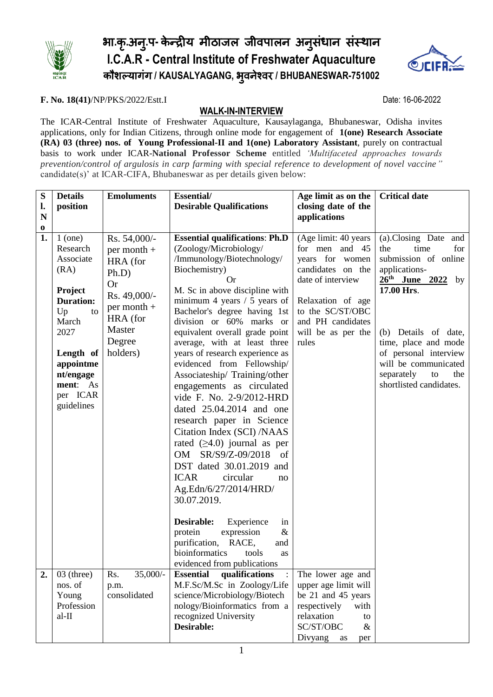

# भा**.**क ृ**.**अन**.**ु प**-** केन्द्रीय मीठाजल जीवपालन अनसु ंधान संस्थान **I.C.A.R - Central Institute of Freshwater Aquaculture** कौशल्यागंग **/ KAUSALYAGANG,** भ ु वनेश्वर **/ BHUBANESWAR-751002**



### **F. No. 18(41)**/NP/PKS/2022/Estt.I Date: 16-06-2022

## **WALK-IN-INTERVIEW**

The ICAR-Central Institute of Freshwater Aquaculture, Kausaylaganga, Bhubaneswar, Odisha invites applications, only for Indian Citizens, through online mode for engagement of **1(one) Research Associate (RA) 03 (three) nos. of Young Professional-II and 1(one) Laboratory Assistant**, purely on contractual basis to work under ICAR-**National Professor Scheme** entitled *'Multifaceted approaches towards prevention/control of argulosis in carp farming with special reference to development of novel vaccine"* candidate(s)' at ICAR-CIFA, Bhubaneswar as per details given below:

| S                       | <b>Details</b>                                                                                                                                                                      | <b>Emoluments</b>                                                                                                                               | <b>Essential/</b>                                                                                                                                                                                                                                                                                                                                                                                                                                                                                                                                                                                                                                                                                                                                                                                                                                                                         | Age limit as on the                                                                                                                                                                              | <b>Critical date</b>                                                                                                                                                                                                                                                               |
|-------------------------|-------------------------------------------------------------------------------------------------------------------------------------------------------------------------------------|-------------------------------------------------------------------------------------------------------------------------------------------------|-------------------------------------------------------------------------------------------------------------------------------------------------------------------------------------------------------------------------------------------------------------------------------------------------------------------------------------------------------------------------------------------------------------------------------------------------------------------------------------------------------------------------------------------------------------------------------------------------------------------------------------------------------------------------------------------------------------------------------------------------------------------------------------------------------------------------------------------------------------------------------------------|--------------------------------------------------------------------------------------------------------------------------------------------------------------------------------------------------|------------------------------------------------------------------------------------------------------------------------------------------------------------------------------------------------------------------------------------------------------------------------------------|
| l.                      | position                                                                                                                                                                            |                                                                                                                                                 | <b>Desirable Qualifications</b>                                                                                                                                                                                                                                                                                                                                                                                                                                                                                                                                                                                                                                                                                                                                                                                                                                                           | closing date of the                                                                                                                                                                              |                                                                                                                                                                                                                                                                                    |
| $\mathbf N$<br>$\bf{0}$ |                                                                                                                                                                                     |                                                                                                                                                 |                                                                                                                                                                                                                                                                                                                                                                                                                                                                                                                                                                                                                                                                                                                                                                                                                                                                                           | applications                                                                                                                                                                                     |                                                                                                                                                                                                                                                                                    |
| 1.                      | $1$ (one)<br>Research<br>Associate<br>(RA)<br>Project<br><b>Duration:</b><br>Up<br>to<br>March<br>2027<br>Length of<br>appointme<br>nt/engage<br>ment: As<br>per ICAR<br>guidelines | Rs. 54,000/-<br>$per month +$<br>HRA (for<br>$Ph.D$ )<br><b>Or</b><br>Rs. 49,000/-<br>$per month +$<br>HRA (for<br>Master<br>Degree<br>holders) | <b>Essential qualifications: Ph.D</b><br>(Zoology/Microbiology/<br>/Immunology/Biotechnology/<br>Biochemistry)<br><b>Or</b><br>M. Sc in above discipline with<br>minimum 4 years $/$ 5 years of<br>Bachelor's degree having 1st<br>division or 60% marks or<br>equivalent overall grade point<br>average, with at least three<br>years of research experience as<br>evidenced from Fellowship/<br>Associateship/Training/other<br>engagements as circulated<br>vide F. No. 2-9/2012-HRD<br>dated 25.04.2014 and one<br>research paper in Science<br>Citation Index (SCI) /NAAS<br>rated $(\geq 4.0)$ journal as per<br>SR/S9/Z-09/2018 of<br>OM<br>DST dated 30.01.2019 and<br><b>ICAR</b><br>circular<br>no<br>Ag.Edn/6/27/2014/HRD/<br>30.07.2019.<br>Desirable:<br>Experience<br>in<br>$\&$<br>expression<br>protein<br>purification,<br>RACE,<br>and<br>bioinformatics<br>tools<br>as | (Age limit: 40 years<br>for men and 45<br>years for women<br>candidates on the<br>date of interview<br>Relaxation of age<br>to the SC/ST/OBC<br>and PH candidates<br>will be as per the<br>rules | (a).Closing Date<br>and<br>time<br>for<br>the<br>submission of online<br>applications-<br>$26th$ June 2022 by<br>17.00 Hrs.<br>(b) Details of date,<br>time, place and mode<br>of personal interview<br>will be communicated<br>separately<br>to<br>the<br>shortlisted candidates. |
| 2.                      | $03$ (three)                                                                                                                                                                        | $35,000/-$<br>Rs.                                                                                                                               | evidenced from publications<br><b>Essential</b><br>qualifications                                                                                                                                                                                                                                                                                                                                                                                                                                                                                                                                                                                                                                                                                                                                                                                                                         | The lower age and                                                                                                                                                                                |                                                                                                                                                                                                                                                                                    |
|                         | nos. of                                                                                                                                                                             | p.m.                                                                                                                                            | M.F.Sc/M.Sc in Zoology/Life                                                                                                                                                                                                                                                                                                                                                                                                                                                                                                                                                                                                                                                                                                                                                                                                                                                               | upper age limit will                                                                                                                                                                             |                                                                                                                                                                                                                                                                                    |
|                         | Young                                                                                                                                                                               | consolidated                                                                                                                                    | science/Microbiology/Biotech                                                                                                                                                                                                                                                                                                                                                                                                                                                                                                                                                                                                                                                                                                                                                                                                                                                              | be 21 and 45 years                                                                                                                                                                               |                                                                                                                                                                                                                                                                                    |
|                         | Profession                                                                                                                                                                          |                                                                                                                                                 | nology/Bioinformatics from a                                                                                                                                                                                                                                                                                                                                                                                                                                                                                                                                                                                                                                                                                                                                                                                                                                                              | respectively<br>with                                                                                                                                                                             |                                                                                                                                                                                                                                                                                    |
|                         | $al-II$                                                                                                                                                                             |                                                                                                                                                 | recognized University<br>Desirable:                                                                                                                                                                                                                                                                                                                                                                                                                                                                                                                                                                                                                                                                                                                                                                                                                                                       | relaxation<br>to<br>SC/ST/OBC<br>$\&$                                                                                                                                                            |                                                                                                                                                                                                                                                                                    |
|                         |                                                                                                                                                                                     |                                                                                                                                                 |                                                                                                                                                                                                                                                                                                                                                                                                                                                                                                                                                                                                                                                                                                                                                                                                                                                                                           | Divyang as<br>per                                                                                                                                                                                |                                                                                                                                                                                                                                                                                    |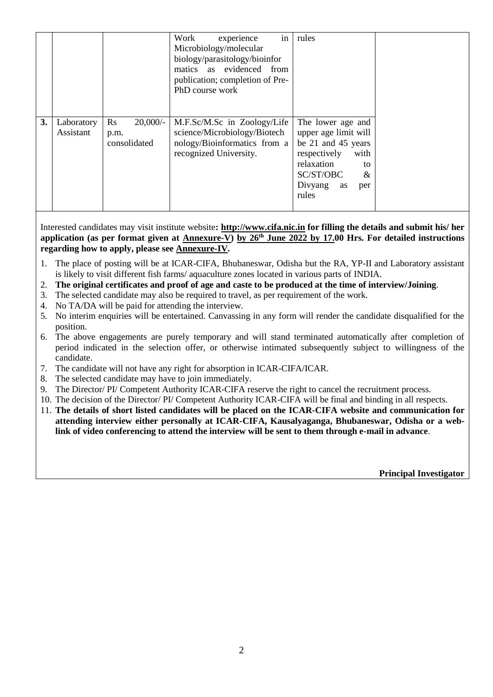| biology/parasitology/bioinfor<br>matics as evidenced from<br>publication; completion of Pre-<br>PhD course work                                                                                                                                                                                                                                                       |
|-----------------------------------------------------------------------------------------------------------------------------------------------------------------------------------------------------------------------------------------------------------------------------------------------------------------------------------------------------------------------|
| 3.<br>Rs<br>$20,000/$ -<br>The lower age and<br>Laboratory<br>M.F.Sc/M.Sc in Zoology/Life<br>upper age limit will<br>Assistant<br>science/Microbiology/Biotech<br>p.m.<br>nology/Bioinformatics from a<br>be 21 and 45 years<br>consolidated<br>recognized University.<br>respectively<br>with<br>relaxation<br>to<br>SC/ST/OBC<br>&<br>Divyang<br>as<br>per<br>rules |

Interested candidates may visit institute website**: [http://www.cifa.nic.in](http://www.cifa.nic.in/) for filling the details and submit his/ her application (as per format given at Annexure-V) by 26 th June 2022 by 17.00 Hrs. For detailed instructions regarding how to apply, please see Annexure-IV.** 

- 1. The place of posting will be at ICAR-CIFA, Bhubaneswar, Odisha but the RA, YP-II and Laboratory assistant is likely to visit different fish farms/ aquaculture zones located in various parts of INDIA.
- 2. **The original certificates and proof of age and caste to be produced at the time of interview/Joining**.
- 3. The selected candidate may also be required to travel, as per requirement of the work.
- 4. No TA/DA will be paid for attending the interview.
- 5. No interim enquiries will be entertained. Canvassing in any form will render the candidate disqualified for the position.
- 6. The above engagements are purely temporary and will stand terminated automatically after completion of period indicated in the selection offer, or otherwise intimated subsequently subject to willingness of the candidate.
- 7. The candidate will not have any right for absorption in ICAR-CIFA/ICAR.
- 8. The selected candidate may have to join immediately.
- 9. The Director/ PI/ Competent Authority ICAR-CIFA reserve the right to cancel the recruitment process.
- 10. The decision of the Director/ PI/ Competent Authority ICAR-CIFA will be final and binding in all respects.
- 11. **The details of short listed candidates will be placed on the ICAR-CIFA website and communication for attending interview either personally at ICAR-CIFA, Kausalyaganga, Bhubaneswar, Odisha or a weblink of video conferencing to attend the interview will be sent to them through e-mail in advance**.

 **Principal Investigator**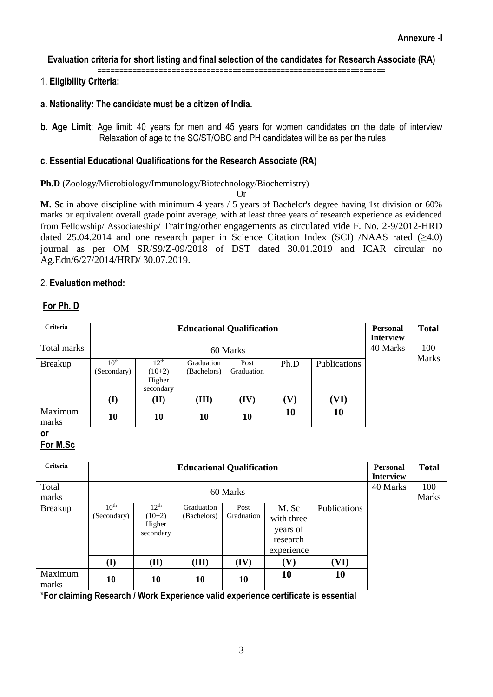### **Evaluation criteria for short listing and final selection of the candidates for Research Associate (RA)**

==================================================================

# 1. **Eligibility Criteria:**

- **a. Nationality: The candidate must be a citizen of India.**
- **b. Age Limit**: Age limit: 40 years for men and 45 years for women candidates on the date of interview Relaxation of age to the SC/ST/OBC and PH candidates will be as per the rules

## **c. Essential Educational Qualifications for the Research Associate (RA)**

## **Ph.D** (Zoology/Microbiology/Immunology/Biotechnology/Biochemistry)

Or

**M. Sc** in above discipline with minimum 4 years / 5 years of Bachelor's degree having 1st division or 60% marks or equivalent overall grade point average, with at least three years of research experience as evidenced from Fellowship/ Associateship/ Training/other engagements as circulated vide F. No. 2-9/2012-HRD dated 25.04.2014 and one research paper in Science Citation Index (SCI) /NAAS rated  $(≥4.0)$ journal as per OM SR/S9/Z-09/2018 of DST dated 30.01.2019 and ICAR circular no Ag.Edn/6/27/2014/HRD/ 30.07.2019.

# 2. **Evaluation method:**

# **For Ph. D**

| Criteria         |                                 | <b>Educational Qualification</b>             |                           |                    |                            |              |  | <b>Total</b> |
|------------------|---------------------------------|----------------------------------------------|---------------------------|--------------------|----------------------------|--------------|--|--------------|
| Total marks      |                                 | 60 Marks                                     |                           |                    |                            |              |  |              |
| <b>Breakup</b>   | 10 <sup>th</sup><br>(Secondary) | $12^{th}$<br>$(10+2)$<br>Higher<br>secondary | Graduation<br>(Bachelors) | Post<br>Graduation | Ph.D                       | Publications |  | Marks        |
|                  | (I)                             | (II)                                         | (III)                     | (IV)               | $\left( \mathbf{V}\right)$ | ${\bf (VI)}$ |  |              |
| Maximum<br>marks | 10                              | 10                                           | 10                        | 10                 | 10                         | 10           |  |              |

**or**

# **For M.Sc**

| Criteria         | <b>Educational Qualification</b> |                                                     |                           |                    |                                                           |                     | <b>Personal</b><br><b>Interview</b> | <b>Total</b>        |
|------------------|----------------------------------|-----------------------------------------------------|---------------------------|--------------------|-----------------------------------------------------------|---------------------|-------------------------------------|---------------------|
| Total<br>marks   |                                  | 60 Marks                                            |                           |                    |                                                           |                     |                                     | 100<br><b>Marks</b> |
| <b>Breakup</b>   | 10 <sup>th</sup><br>(Secondary)  | 12 <sup>th</sup><br>$(10+2)$<br>Higher<br>secondary | Graduation<br>(Bachelors) | Post<br>Graduation | M. Sc<br>with three<br>years of<br>research<br>experience | <b>Publications</b> |                                     |                     |
|                  | (I)                              | (II)                                                | (III)                     | (IV)               | $\left( \mathbf{V}\right)$                                | (VI)                |                                     |                     |
| Maximum<br>marks | 10                               | 10                                                  | 10                        | 10                 | 10                                                        | 10                  |                                     |                     |

\***For claiming Research / Work Experience valid experience certificate is essential**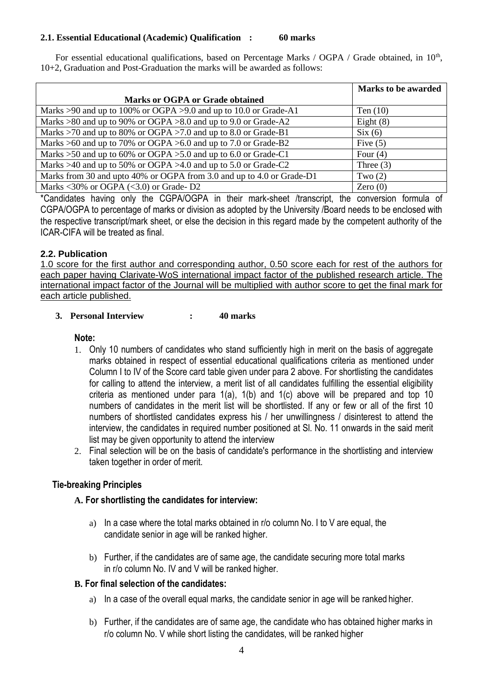#### **2.1. Essential Educational (Academic) Qualification : 60 marks**

For essential educational qualifications, based on Percentage Marks / OGPA / Grade obtained, in 10<sup>th</sup>, 10+2, Graduation and Post-Graduation the marks will be awarded as follows:

|                                                                            | <b>Marks to be awarded</b> |
|----------------------------------------------------------------------------|----------------------------|
| Marks or OGPA or Grade obtained                                            |                            |
| Marks >90 and up to 100% or OGPA >9.0 and up to 10.0 or Grade-A1           | Ten $(10)$                 |
| Marks $>80$ and up to 90% or OGPA $>8.0$ and up to 9.0 or Grade-A2         | Eight $(8)$                |
| Marks >70 and up to 80% or OGPA >7.0 and up to 8.0 or Grade-B1             | Six(6)                     |
| Marks $>60$ and up to 70% or OGPA $>6.0$ and up to 7.0 or Grade-B2         | Five $(5)$                 |
| Marks $>50$ and up to 60% or OGPA $>5.0$ and up to 6.0 or Grade-C1         | Four $(4)$                 |
| Marks $>40$ and up to 50% or OGPA $>4.0$ and up to 5.0 or Grade-C2         | Three $(3)$                |
| Marks from 30 and upto 40% or OGPA from 3.0 and up to 4.0 or Grade-D1      | Two $(2)$                  |
| Marks $\langle 30\% \rangle$ or OGPA ( $\langle 3.0 \rangle$ ) or Grade-D2 | Zero $(0)$                 |

\*Candidates having only the CGPA/OGPA in their mark-sheet /transcript, the conversion formula of CGPA/OGPA to percentage of marks or division as adopted by the University /Board needs to be enclosed with the respective transcript/mark sheet, or else the decision in this regard made by the competent authority of the ICAR-CIFA will be treated as final.

## **2.2. Publication**

1.0 score for the first author and corresponding author, 0.50 score each for rest of the authors for each paper having Clarivate-WoS international impact factor of the published research article. The international impact factor of the Journal will be multiplied with author score to get the final mark for each article published.

#### **3. Personal Interview : 40 marks**

### **Note:**

- 1. Only 10 numbers of candidates who stand sufficiently high in merit on the basis of aggregate marks obtained in respect of essential educational qualifications criteria as mentioned under Column I to IV of the Score card table given under para 2 above. For shortlisting the candidates for calling to attend the interview, a merit list of all candidates fulfilling the essential eligibility criteria as mentioned under para 1(a), 1(b) and 1(c) above will be prepared and top 10 numbers of candidates in the merit list will be shortlisted. If any or few or all of the first 10 numbers of shortlisted candidates express his / her unwillingness / disinterest to attend the interview, the candidates in required number positioned at Sl. No. 11 onwards in the said merit list may be given opportunity to attend the interview
- 2. Final selection will be on the basis of candidate's performance in the shortlisting and interview taken together in order of merit.

### **Tie-breaking Principles**

### **A. For shortlisting the candidates for interview:**

- a) In a case where the total marks obtained in r/o column No. I to V are equal, the candidate senior in age will be ranked higher.
- b) Further, if the candidates are of same age, the candidate securing more total marks in r/o column No. IV and V will be ranked higher.

### **B. For final selection of the candidates:**

- a) In a case of the overall equal marks, the candidate senior in age will be ranked higher.
- b) Further, if the candidates are of same age, the candidate who has obtained higher marks in r/o column No. V while short listing the candidates, will be ranked higher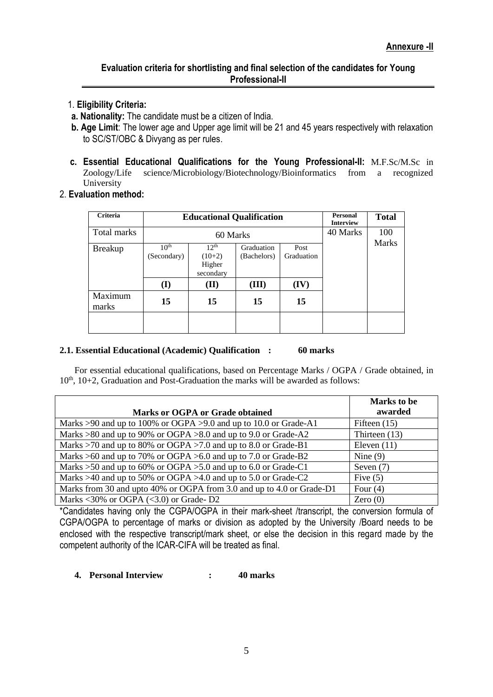### **Evaluation criteria for shortlisting and final selection of the candidates for Young Professional-II**

- 1. **Eligibility Criteria:**
- **a. Nationality:** The candidate must be a citizen of India.
- **b. Age Limit**: The lower age and Upper age limit will be 21 and 45 years respectively with relaxation to SC/ST/OBC & Divyang as per rules.
- **c. Essential Educational Qualifications for the Young Professional-II:** M.F.Sc/M.Sc in Zoology/Life science/Microbiology/Biotechnology/Bioinformatics from a recognized University
- 2. **Evaluation method:**

| <b>Criteria</b>  |                                 | <b>Educational Qualification</b>             | <b>Personal</b><br><b>Interview</b> | <b>Total</b>       |          |                     |
|------------------|---------------------------------|----------------------------------------------|-------------------------------------|--------------------|----------|---------------------|
| Total marks      |                                 | 60 Marks                                     |                                     |                    | 40 Marks | 100<br><b>Marks</b> |
| <b>Breakup</b>   | 10 <sup>th</sup><br>(Secondary) | $12^{th}$<br>$(10+2)$<br>Higher<br>secondary | Graduation<br>(Bachelors)           | Post<br>Graduation |          |                     |
|                  | (I)                             | (II)                                         | (III)                               | (IV)               |          |                     |
| Maximum<br>marks | 15                              | 15                                           | 15                                  | 15                 |          |                     |
|                  |                                 |                                              |                                     |                    |          |                     |

#### **2.1. Essential Educational (Academic) Qualification : 60 marks**

For essential educational qualifications, based on Percentage Marks / OGPA / Grade obtained, in  $10<sup>th</sup>$ ,  $10+2$ , Graduation and Post-Graduation the marks will be awarded as follows:

|                                                                            | Marks to be     |
|----------------------------------------------------------------------------|-----------------|
| Marks or OGPA or Grade obtained                                            | awarded         |
| Marks >90 and up to 100% or OGPA >9.0 and up to 10.0 or Grade-A1           | Fifteen $(15)$  |
| Marks $>80$ and up to 90% or OGPA $>8.0$ and up to 9.0 or Grade-A2         | Thirteen $(13)$ |
| Marks >70 and up to 80% or OGPA >7.0 and up to 8.0 or Grade-B1             | Eleven $(11)$   |
| Marks $>60$ and up to 70% or OGPA $>6.0$ and up to 7.0 or Grade-B2         | Nine $(9)$      |
| Marks $>50$ and up to 60% or OGPA $>5.0$ and up to 6.0 or Grade-C1         | Seven $(7)$     |
| Marks $>40$ and up to 50% or OGPA $>4.0$ and up to 5.0 or Grade-C2         | Five $(5)$      |
| Marks from 30 and upto 40% or OGPA from 3.0 and up to 4.0 or Grade-D1      | Four $(4)$      |
| Marks $\langle 30\% \rangle$ or OGPA ( $\langle 3.0 \rangle$ ) or Grade-D2 | Zero $(0)$      |

\*Candidates having only the CGPA/OGPA in their mark-sheet /transcript, the conversion formula of CGPA/OGPA to percentage of marks or division as adopted by the University /Board needs to be enclosed with the respective transcript/mark sheet, or else the decision in this regard made by the competent authority of the ICAR-CIFA will be treated as final.

**4. Personal Interview : 40 marks**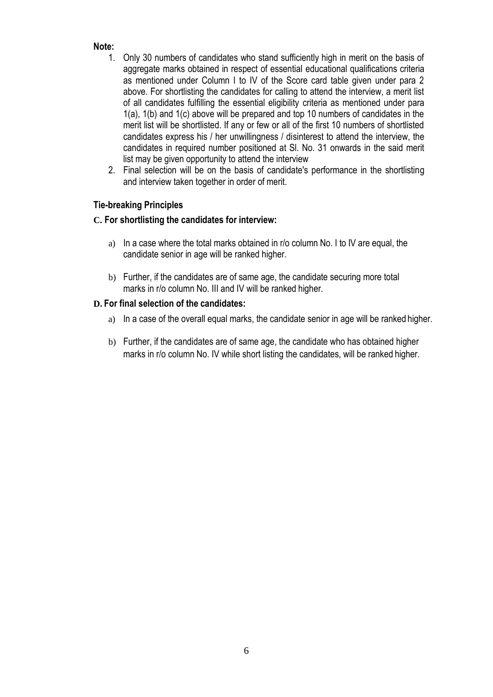# **Note:**

- 1. Only 30 numbers of candidates who stand sufficiently high in merit on the basis of aggregate marks obtained in respect of essential educational qualifications criteria as mentioned under Column I to IV of the Score card table given under para 2 above. For shortlisting the candidates for calling to attend the interview, a merit list of all candidates fulfilling the essential eligibility criteria as mentioned under para 1(a), 1(b) and 1(c) above will be prepared and top 10 numbers of candidates in the merit list will be shortlisted. If any or few or all of the first 10 numbers of shortlisted candidates express his / her unwillingness / disinterest to attend the interview, the candidates in required number positioned at Sl. No. 31 onwards in the said merit list may be given opportunity to attend the interview
- 2. Final selection will be on the basis of candidate's performance in the shortlisting and interview taken together in order of merit.

# **Tie-breaking Principles**

# **C. For shortlisting the candidates for interview:**

- a) In a case where the total marks obtained in r/o column No. I to IV are equal, the candidate senior in age will be ranked higher.
- b) Further, if the candidates are of same age, the candidate securing more total marks in r/o column No. III and IV will be ranked higher.

# **D. For final selection of the candidates:**

- a) In a case of the overall equal marks, the candidate senior in age will be ranked higher.
- b) Further, if the candidates are of same age, the candidate who has obtained higher marks in r/o column No. IV while short listing the candidates, will be ranked higher.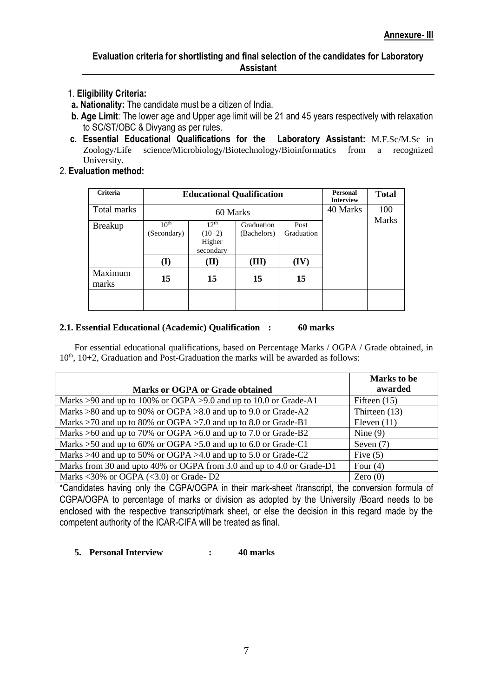- 1. **Eligibility Criteria:**
- **a. Nationality:** The candidate must be a citizen of India.
- **b. Age Limit**: The lower age and Upper age limit will be 21 and 45 years respectively with relaxation to SC/ST/OBC & Divyang as per rules.
- **c. Essential Educational Qualifications for the Laboratory Assistant:** M.F.Sc/M.Sc in Zoology/Life science/Microbiology/Biotechnology/Bioinformatics from a recognized University.
- 2. **Evaluation method:**

| Criteria         |                                 | <b>Educational Qualification</b>             |                           | Personal<br><b>Interview</b> | <b>Total</b>        |  |
|------------------|---------------------------------|----------------------------------------------|---------------------------|------------------------------|---------------------|--|
| Total marks      |                                 | 60 Marks                                     |                           | 40 Marks                     | 100<br><b>Marks</b> |  |
| <b>Breakup</b>   | 10 <sup>th</sup><br>(Secondary) | $12^{th}$<br>$(10+2)$<br>Higher<br>secondary | Graduation<br>(Bachelors) | Post<br>Graduation           |                     |  |
|                  | (I)                             | (II)                                         | (III)                     | (IV)                         |                     |  |
| Maximum<br>marks | 15                              | 15                                           | 15                        | 15                           |                     |  |
|                  |                                 |                                              |                           |                              |                     |  |

### **2.1. Essential Educational (Academic) Qualification : 60 marks**

For essential educational qualifications, based on Percentage Marks / OGPA / Grade obtained, in  $10<sup>th</sup>$ ,  $10+2$ , Graduation and Post-Graduation the marks will be awarded as follows:

|                                                                            | <b>Marks</b> to be |
|----------------------------------------------------------------------------|--------------------|
| Marks or OGPA or Grade obtained                                            | awarded            |
| Marks >90 and up to 100% or OGPA >9.0 and up to 10.0 or Grade-A1           | Fifteen $(15)$     |
| Marks $>80$ and up to 90% or OGPA $>8.0$ and up to 9.0 or Grade-A2         | Thirteen $(13)$    |
| Marks >70 and up to 80% or OGPA >7.0 and up to 8.0 or Grade-B1             | Eleven $(11)$      |
| Marks $>60$ and up to 70% or OGPA $>6.0$ and up to 7.0 or Grade-B2         | Nine $(9)$         |
| Marks >50 and up to 60% or OGPA >5.0 and up to 6.0 or Grade-C1             | Seven $(7)$        |
| Marks $>40$ and up to 50% or OGPA $>4.0$ and up to 5.0 or Grade-C2         | Five $(5)$         |
| Marks from 30 and upto 40% or OGPA from 3.0 and up to 4.0 or Grade-D1      | Four $(4)$         |
| Marks $\langle 30\% \rangle$ or OGPA ( $\langle 3.0 \rangle$ ) or Grade-D2 | Zero $(0)$         |

\*Candidates having only the CGPA/OGPA in their mark-sheet /transcript, the conversion formula of CGPA/OGPA to percentage of marks or division as adopted by the University /Board needs to be enclosed with the respective transcript/mark sheet, or else the decision in this regard made by the competent authority of the ICAR-CIFA will be treated as final.

### **5. Personal Interview : 40 marks**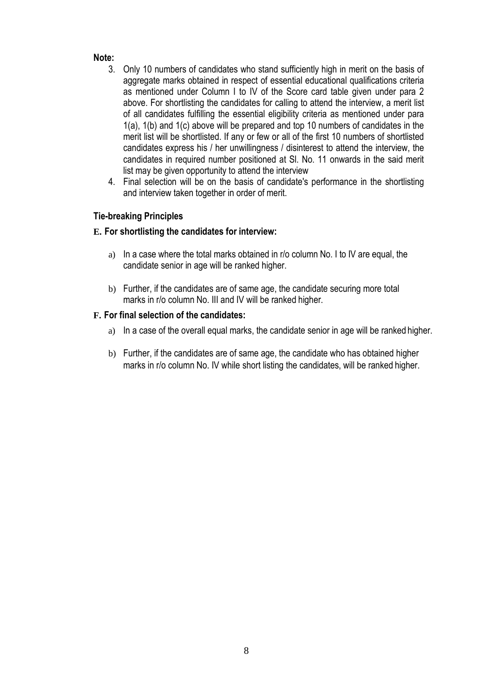# **Note:**

- 3. Only 10 numbers of candidates who stand sufficiently high in merit on the basis of aggregate marks obtained in respect of essential educational qualifications criteria as mentioned under Column I to IV of the Score card table given under para 2 above. For shortlisting the candidates for calling to attend the interview, a merit list of all candidates fulfilling the essential eligibility criteria as mentioned under para 1(a), 1(b) and 1(c) above will be prepared and top 10 numbers of candidates in the merit list will be shortlisted. If any or few or all of the first 10 numbers of shortlisted candidates express his / her unwillingness / disinterest to attend the interview, the candidates in required number positioned at Sl. No. 11 onwards in the said merit list may be given opportunity to attend the interview
- 4. Final selection will be on the basis of candidate's performance in the shortlisting and interview taken together in order of merit.

# **Tie-breaking Principles**

# **E. For shortlisting the candidates for interview:**

- a) In a case where the total marks obtained in r/o column No. I to IV are equal, the candidate senior in age will be ranked higher.
- b) Further, if the candidates are of same age, the candidate securing more total marks in r/o column No. III and IV will be ranked higher.

# **F. For final selection of the candidates:**

- a) In a case of the overall equal marks, the candidate senior in age will be ranked higher.
- b) Further, if the candidates are of same age, the candidate who has obtained higher marks in r/o column No. IV while short listing the candidates, will be ranked higher.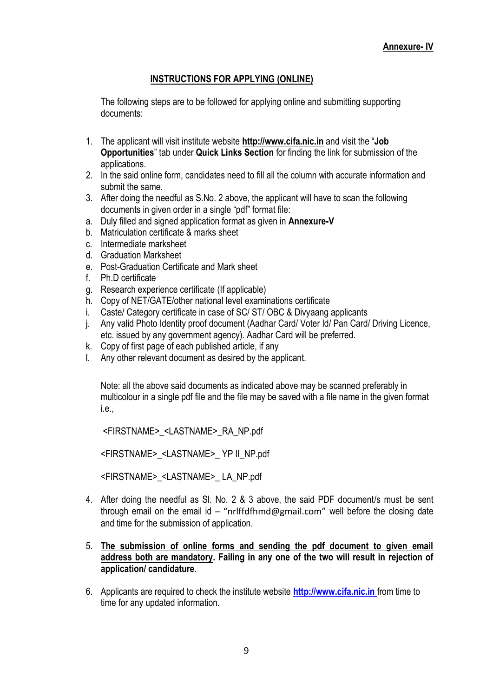# **INSTRUCTIONS FOR APPLYING (ONLINE)**

The following steps are to be followed for applying online and submitting supporting documents:

- 1. The applicant will visit institute website **[http://www.cifa.nic.in](http://www.cifa.nic.in/)** and visit the "**Job Opportunities**" tab under **Quick Links Section** for finding the link for submission of the applications.
- 2. In the said online form, candidates need to fill all the column with accurate information and submit the same.
- 3. After doing the needful as S.No. 2 above, the applicant will have to scan the following documents in given order in a single "pdf" format file:
- a. Duly filled and signed application format as given in **Annexure-V**
- b. Matriculation certificate & marks sheet
- c. Intermediate marksheet
- d. Graduation Marksheet
- e. Post-Graduation Certificate and Mark sheet
- f. Ph.D certificate
- g. Research experience certificate (If applicable)
- h. Copy of NET/GATE/other national level examinations certificate
- i. Caste/ Category certificate in case of SC/ ST/ OBC & Divyaang applicants
- j. Any valid Photo Identity proof document (Aadhar Card/ Voter Id/ Pan Card/ Driving Licence, etc. issued by any government agency). Aadhar Card will be preferred.
- k. Copy of first page of each published article, if any
- l. Any other relevant document as desired by the applicant.

Note: all the above said documents as indicated above may be scanned preferably in multicolour in a single pdf file and the file may be saved with a file name in the given format i.e.,

<FIRSTNAME>\_<LASTNAME>\_RA\_NP.pdf

<FIRSTNAME>\_<LASTNAME>\_ YP II\_NP.pdf

<FIRSTNAME>\_<LASTNAME>\_ LA\_NP.pdf

- 4. After doing the needful as Sl. No. 2 & 3 above, the said PDF document/s must be sent through email on the email id – "nrlffdfhmd@gmail.com" well before the closing date and time for the submission of application.
- 5. **The submission of online forms and sending the pdf document to given email address both are mandatory. Failing in any one of the two will result in rejection of application/ candidature**.
- 6. Applicants are required to check the institute website **[http://www.cifa.nic.in](http://www.cifa.nic.in/)** from time to time for any updated information.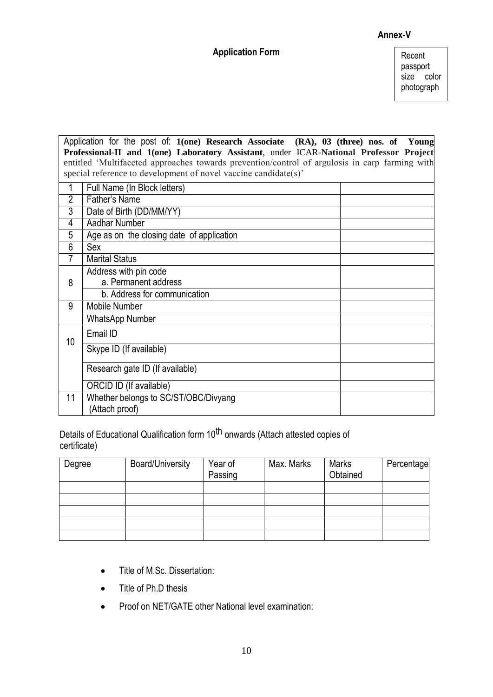## **Annex-V**

## **Application Form**

Recent passport size color photograph

Application for the post of: **1(one) Research Associate (RA), 03 (three) nos. of Young Professional-II and 1(one) Laboratory Assistant**, under ICAR-**National Professor Project** entitled 'Multifaceted approaches towards prevention/control of argulosis in carp farming with special reference to development of novel vaccine candidate(s)'

| 1              | Full Name (In Block letters)                           |
|----------------|--------------------------------------------------------|
| $\overline{2}$ | Father's Name                                          |
| 3              | Date of Birth (DD/MM/YY)                               |
| 4              | <b>Aadhar Number</b>                                   |
| 5              | Age as on the closing date of application              |
| 6              | Sex                                                    |
| 7              | <b>Marital Status</b>                                  |
|                | Address with pin code                                  |
| 8              | a. Permanent address                                   |
|                | b. Address for communication                           |
| 9              | Mobile Number                                          |
|                | <b>WhatsApp Number</b>                                 |
| 10             | Email ID                                               |
|                | Skype ID (If available)                                |
|                | Research gate ID (If available)                        |
|                | ORCID ID (If available)                                |
| 11             | Whether belongs to SC/ST/OBC/Divyang<br>(Attach proof) |
|                |                                                        |

Details of Educational Qualification form 10<sup>th</sup> onwards (Attach attested copies of certificate)

| Degree | <b>Board/University</b> | Year of<br>Passing | Max. Marks | <b>Marks</b><br>Obtained | Percentage |
|--------|-------------------------|--------------------|------------|--------------------------|------------|
|        |                         |                    |            |                          |            |
|        |                         |                    |            |                          |            |
|        |                         |                    |            |                          |            |
|        |                         |                    |            |                          |            |
|        |                         |                    |            |                          |            |

- Title of M.Sc. Dissertation:
- Title of Ph.D thesis
- Proof on NET/GATE other National level examination: